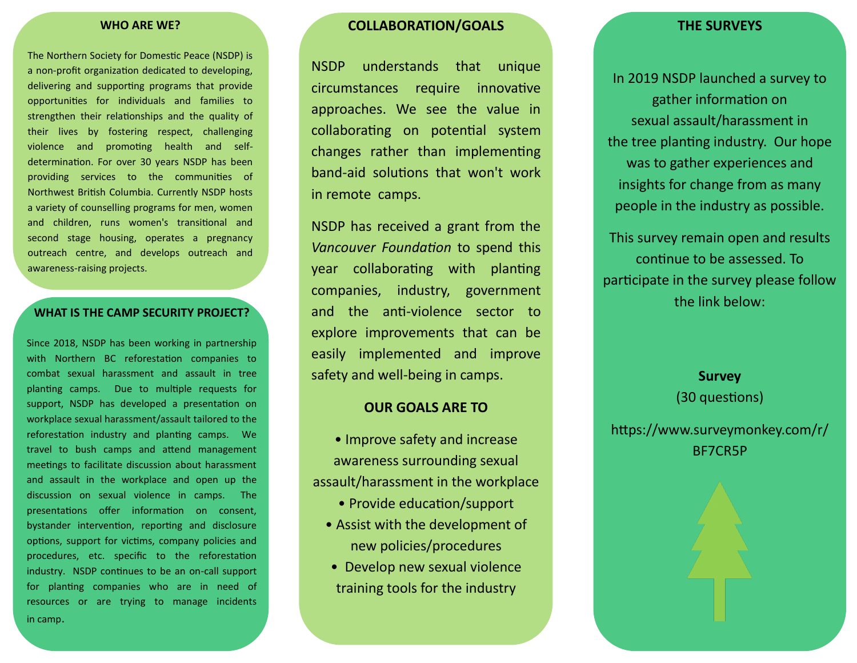#### **WHO ARE WE?**

The Northern Society for Domestic Peace (NSDP) is a non-profit organization dedicated to developing, delivering and supporting programs that provide opportunities for individuals and families to strengthen their relationships and the quality of their lives by fostering respect, challenging violence and promoting health and selfdetermination. For over 30 years NSDP has been providing services to the communities of Northwest British Columbia. Currently NSDP hosts a variety of counselling programs for men, women and children, runs women's transitional and second stage housing, operates a pregnancy outreach centre, and develops outreach and awareness-raising projects.

#### **WHAT IS THE CAMP SECURITY PROJECT?**

Since 2018, NSDP has been working in partnership with Northern BC reforestation companies to combat sexual harassment and assault in tree planting camps. Due to multiple requests for support, NSDP has developed a presentation on workplace sexual harassment/assault tailored to the reforestation industry and planting camps. We travel to bush camps and attend management meetings to facilitate discussion about harassment and assault in the workplace and open up the discussion on sexual violence in camps. The presentations offer information on consent, bystander intervention, reporting and disclosure options, support for victims, company policies and procedures, etc. specific to the reforestation industry. NSDP continues to be an on-call support for planting companies who are in need of resources or are trying to manage incidents in camp.

## **COLLABORATION/GOALS**

NSDP understands that unique circumstances require innovative approaches. We see the value in collaborating on potential system changes rather than implementing band-aid solutions that won't work in remote camps.

NSDP has received a grant from the *Vancouver Foundation* to spend this year collaborating with planting companies, industry, government and the anti-violence sector to explore improvements that can be easily implemented and improve safety and well-being in camps.

### **OUR GOALS ARE TO**

• Improve safety and increase awareness surrounding sexual assault/harassment in the workplace

- Provide education/support
- Assist with the development of new policies/procedures
- Develop new sexual violence training tools for the industry

#### **THE SURVEYS**

In 2019 NSDP launched a survey to gather information on sexual assault/harassment in the tree planting industry. Our hope was to gather experiences and insights for change from as many people in the industry as possible.

This survey remain open and results continue to be assessed. To participate in the survey please follow the link below:

> **Survey**  (30 questions)

https://www.surveymonkey.com/r/ BF7CR5P